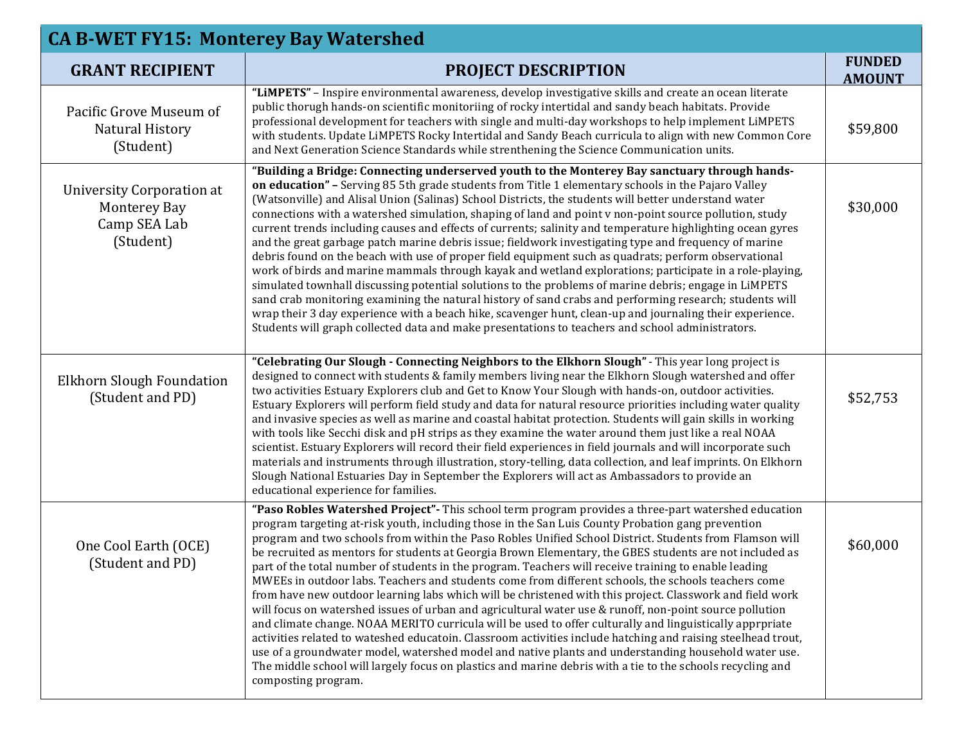| <b>CA B-WET FY15: Monterey Bay Watershed</b>                                         |                                                                                                                                                                                                                                                                                                                                                                                                                                                                                                                                                                                                                                                                                                                                                                                                                                                                                                                                                                                                                                                                                                                                                                                                                                                                                                                                                 |                                |  |
|--------------------------------------------------------------------------------------|-------------------------------------------------------------------------------------------------------------------------------------------------------------------------------------------------------------------------------------------------------------------------------------------------------------------------------------------------------------------------------------------------------------------------------------------------------------------------------------------------------------------------------------------------------------------------------------------------------------------------------------------------------------------------------------------------------------------------------------------------------------------------------------------------------------------------------------------------------------------------------------------------------------------------------------------------------------------------------------------------------------------------------------------------------------------------------------------------------------------------------------------------------------------------------------------------------------------------------------------------------------------------------------------------------------------------------------------------|--------------------------------|--|
| <b>GRANT RECIPIENT</b>                                                               | <b>PROJECT DESCRIPTION</b>                                                                                                                                                                                                                                                                                                                                                                                                                                                                                                                                                                                                                                                                                                                                                                                                                                                                                                                                                                                                                                                                                                                                                                                                                                                                                                                      | <b>FUNDED</b><br><b>AMOUNT</b> |  |
| Pacific Grove Museum of<br><b>Natural History</b><br>(Student)                       | "LIMPETS" - Inspire environmental awareness, develop investigative skills and create an ocean literate<br>public thorugh hands-on scientific monitoriing of rocky intertidal and sandy beach habitats. Provide<br>professional development for teachers with single and multi-day workshops to help implement LiMPETS<br>with students. Update LiMPETS Rocky Intertidal and Sandy Beach curricula to align with new Common Core<br>and Next Generation Science Standards while strenthening the Science Communication units.                                                                                                                                                                                                                                                                                                                                                                                                                                                                                                                                                                                                                                                                                                                                                                                                                    | \$59,800                       |  |
| <b>University Corporation at</b><br><b>Monterey Bay</b><br>Camp SEA Lab<br>(Student) | "Building a Bridge: Connecting underserved youth to the Monterey Bay sanctuary through hands-<br>on education" - Serving 85 5th grade students from Title 1 elementary schools in the Pajaro Valley<br>(Watsonville) and Alisal Union (Salinas) School Districts, the students will better understand water<br>connections with a watershed simulation, shaping of land and point v non-point source pollution, study<br>current trends including causes and effects of currents; salinity and temperature highlighting ocean gyres<br>and the great garbage patch marine debris issue; fieldwork investigating type and frequency of marine<br>debris found on the beach with use of proper field equipment such as quadrats; perform observational<br>work of birds and marine mammals through kayak and wetland explorations; participate in a role-playing,<br>simulated townhall discussing potential solutions to the problems of marine debris; engage in LiMPETS<br>sand crab monitoring examining the natural history of sand crabs and performing research; students will<br>wrap their 3 day experience with a beach hike, scavenger hunt, clean-up and journaling their experience.<br>Students will graph collected data and make presentations to teachers and school administrators.                                             | \$30,000                       |  |
| Elkhorn Slough Foundation<br>(Student and PD)                                        | "Celebrating Our Slough - Connecting Neighbors to the Elkhorn Slough" - This year long project is<br>designed to connect with students & family members living near the Elkhorn Slough watershed and offer<br>two activities Estuary Explorers club and Get to Know Your Slough with hands-on, outdoor activities.<br>Estuary Explorers will perform field study and data for natural resource priorities including water quality<br>and invasive species as well as marine and coastal habitat protection. Students will gain skills in working<br>with tools like Secchi disk and pH strips as they examine the water around them just like a real NOAA<br>scientist. Estuary Explorers will record their field experiences in field journals and will incorporate such<br>materials and instruments through illustration, story-telling, data collection, and leaf imprints. On Elkhorn<br>Slough National Estuaries Day in September the Explorers will act as Ambassadors to provide an<br>educational experience for families.                                                                                                                                                                                                                                                                                                            | \$52,753                       |  |
| One Cool Earth (OCE)<br>(Student and PD)                                             | "Paso Robles Watershed Project" - This school term program provides a three-part watershed education<br>program targeting at-risk youth, including those in the San Luis County Probation gang prevention<br>program and two schools from within the Paso Robles Unified School District. Students from Flamson will<br>be recruited as mentors for students at Georgia Brown Elementary, the GBES students are not included as<br>part of the total number of students in the program. Teachers will receive training to enable leading<br>MWEEs in outdoor labs. Teachers and students come from different schools, the schools teachers come<br>from have new outdoor learning labs which will be christened with this project. Classwork and field work<br>will focus on watershed issues of urban and agricultural water use & runoff, non-point source pollution<br>and climate change. NOAA MERITO curricula will be used to offer culturally and linguistically apprpriate<br>activities related to wateshed educatoin. Classroom activities include hatching and raising steelhead trout,<br>use of a groundwater model, watershed model and native plants and understanding household water use.<br>The middle school will largely focus on plastics and marine debris with a tie to the schools recycling and<br>composting program. | \$60,000                       |  |